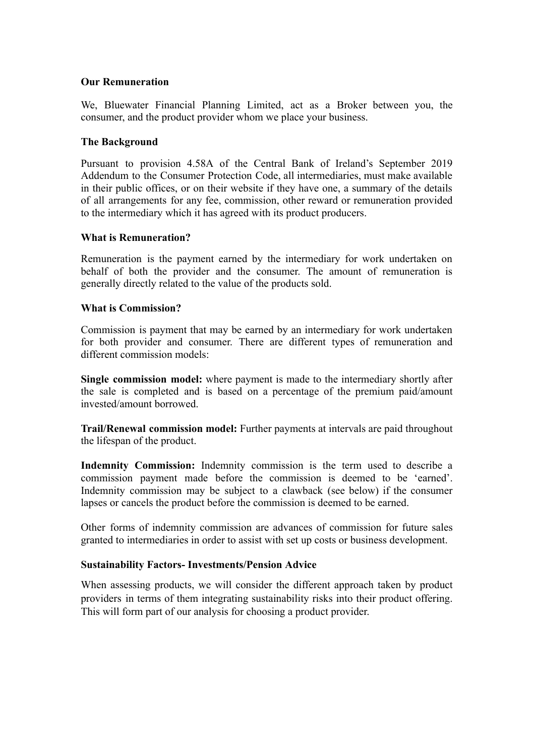## **Our Remuneration**

We, Bluewater Financial Planning Limited, act as a Broker between you, the consumer, and the product provider whom we place your business.

### **The Background**

Pursuant to provision 4.58A of the Central Bank of Ireland's September 2019 Addendum to the Consumer Protection Code, all intermediaries, must make available in their public offices, or on their website if they have one, a summary of the details of all arrangements for any fee, commission, other reward or remuneration provided to the intermediary which it has agreed with its product producers.

## **What is Remuneration?**

Remuneration is the payment earned by the intermediary for work undertaken on behalf of both the provider and the consumer. The amount of remuneration is generally directly related to the value of the products sold.

## **What is Commission?**

Commission is payment that may be earned by an intermediary for work undertaken for both provider and consumer. There are different types of remuneration and different commission models:

**Single commission model:** where payment is made to the intermediary shortly after the sale is completed and is based on a percentage of the premium paid/amount invested/amount borrowed.

**Trail/Renewal commission model:** Further payments at intervals are paid throughout the lifespan of the product.

**Indemnity Commission:** Indemnity commission is the term used to describe a commission payment made before the commission is deemed to be 'earned'. Indemnity commission may be subject to a clawback (see below) if the consumer lapses or cancels the product before the commission is deemed to be earned.

Other forms of indemnity commission are advances of commission for future sales granted to intermediaries in order to assist with set up costs or business development.

#### **Sustainability Factors- Investments/Pension Advice**

When assessing products, we will consider the different approach taken by product providers in terms of them integrating sustainability risks into their product offering. This will form part of our analysis for choosing a product provider.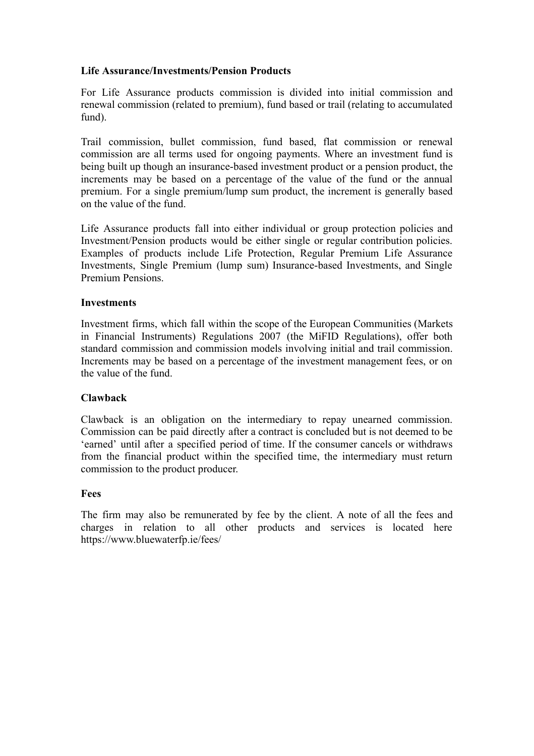## **Life Assurance/Investments/Pension Products**

For Life Assurance products commission is divided into initial commission and renewal commission (related to premium), fund based or trail (relating to accumulated fund).

Trail commission, bullet commission, fund based, flat commission or renewal commission are all terms used for ongoing payments. Where an investment fund is being built up though an insurance-based investment product or a pension product, the increments may be based on a percentage of the value of the fund or the annual premium. For a single premium/lump sum product, the increment is generally based on the value of the fund.

Life Assurance products fall into either individual or group protection policies and Investment/Pension products would be either single or regular contribution policies. Examples of products include Life Protection, Regular Premium Life Assurance Investments, Single Premium (lump sum) Insurance-based Investments, and Single Premium Pensions.

## **Investments**

Investment firms, which fall within the scope of the European Communities (Markets in Financial Instruments) Regulations 2007 (the MiFID Regulations), offer both standard commission and commission models involving initial and trail commission. Increments may be based on a percentage of the investment management fees, or on the value of the fund.

#### **Clawback**

Clawback is an obligation on the intermediary to repay unearned commission. Commission can be paid directly after a contract is concluded but is not deemed to be 'earned' until after a specified period of time. If the consumer cancels or withdraws from the financial product within the specified time, the intermediary must return commission to the product producer.

#### **Fees**

The firm may also be remunerated by fee by the client. A note of all the fees and charges in relation to all other products and services is located here https://www.bluewaterfp.ie/fees/